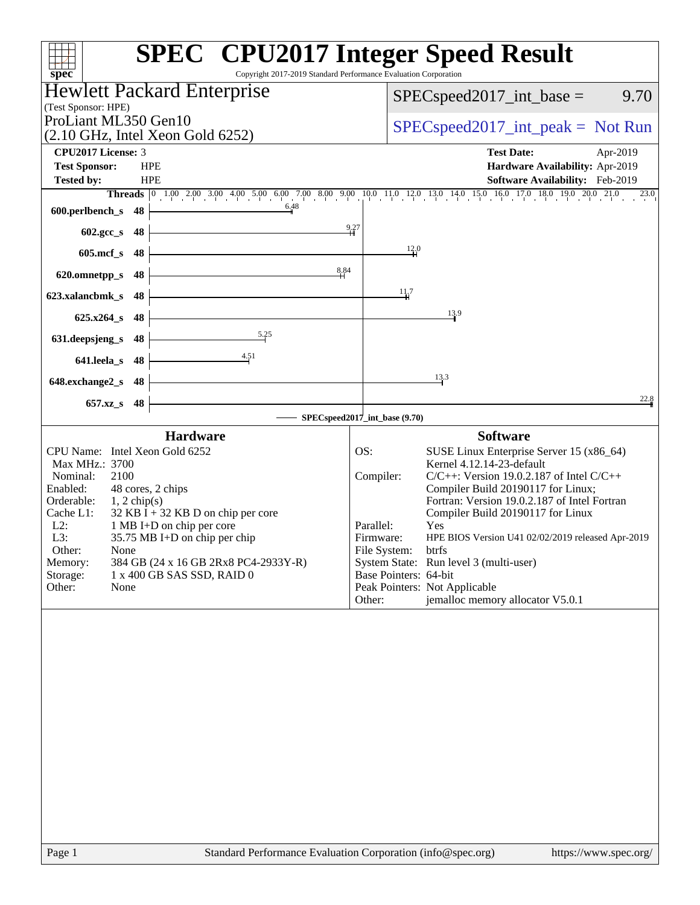|                                                                                                | <b>SPEC<sup>®</sup></b> CPU2017 Integer Speed Result                                                                       |
|------------------------------------------------------------------------------------------------|----------------------------------------------------------------------------------------------------------------------------|
| $spec^*$                                                                                       | Copyright 2017-2019 Standard Performance Evaluation Corporation                                                            |
| <b>Hewlett Packard Enterprise</b>                                                              | $SPEC speed2017\_int\_base =$<br>9.70                                                                                      |
| (Test Sponsor: HPE)                                                                            |                                                                                                                            |
| ProLiant ML350 Gen10<br>$(2.10 \text{ GHz}, \text{Intel Xeon Gold } 6252)$                     | $SPEC speed2017\_int\_peak = Not Run$                                                                                      |
| CPU2017 License: 3                                                                             | <b>Test Date:</b><br>Apr-2019                                                                                              |
| <b>Test Sponsor:</b><br><b>HPE</b>                                                             | Hardware Availability: Apr-2019                                                                                            |
| <b>Tested by:</b><br><b>HPE</b>                                                                | Software Availability: Feb-2019                                                                                            |
|                                                                                                | Threads 0 1.00 2.00 3.00 4.00 5.00 6.00 7.00 8.00 9.00 10.0 11.0 12.0 13.0 14.0 15.0 16.0 17.0 18.0 19.0 20.0 21.0<br>23.0 |
| 6.48<br>600.perlbench_s<br>48                                                                  |                                                                                                                            |
| $602.\text{gcc}\_\text{s}$<br>- 48                                                             | 9.27                                                                                                                       |
| $605$ .mcf_s<br>48                                                                             | 12.0                                                                                                                       |
| 8.84<br>620.omnetpp_s<br>48                                                                    |                                                                                                                            |
|                                                                                                | 11.7                                                                                                                       |
| 623.xalancbmk_s<br>48                                                                          |                                                                                                                            |
| $625.x264_s$<br>48                                                                             | 13.9                                                                                                                       |
| 5.25<br>631.deepsjeng_s<br>48                                                                  |                                                                                                                            |
| 4.51<br>641.leela s<br>48                                                                      |                                                                                                                            |
| 648.exchange2_s<br>48                                                                          | 13.3                                                                                                                       |
| 657.xz_s                                                                                       | 22.8                                                                                                                       |
| 48                                                                                             | SPECspeed2017_int_base (9.70)                                                                                              |
| <b>Hardware</b>                                                                                | <b>Software</b>                                                                                                            |
| CPU Name: Intel Xeon Gold 6252                                                                 | OS:<br>SUSE Linux Enterprise Server 15 (x86_64)                                                                            |
| Max MHz.: 3700                                                                                 | Kernel 4.12.14-23-default                                                                                                  |
| 2100<br>Nominal:<br>48 cores, 2 chips<br>Enabled:                                              | $C/C++$ : Version 19.0.2.187 of Intel $C/C++$<br>Compiler:<br>Compiler Build 20190117 for Linux;                           |
| Orderable:<br>$1, 2$ chip(s)                                                                   | Fortran: Version 19.0.2.187 of Intel Fortran                                                                               |
| 32 KB $\bar{I}$ + 32 KB D on chip per core<br>Cache L1:<br>1 MB I+D on chip per core<br>$L2$ : | Compiler Build 20190117 for Linux<br>Parallel:<br>Yes                                                                      |
| 35.75 MB I+D on chip per chip<br>L3:                                                           | Firmware:<br>HPE BIOS Version U41 02/02/2019 released Apr-2019                                                             |
| Other:<br>None                                                                                 | File System:<br>btrfs                                                                                                      |
| Memory:<br>384 GB (24 x 16 GB 2Rx8 PC4-2933Y-R)<br>Storage:<br>1 x 400 GB SAS SSD, RAID 0      | System State: Run level 3 (multi-user)<br>Base Pointers: 64-bit                                                            |
| Other:<br>None                                                                                 | Peak Pointers: Not Applicable                                                                                              |
|                                                                                                | jemalloc memory allocator V5.0.1<br>Other:                                                                                 |
|                                                                                                |                                                                                                                            |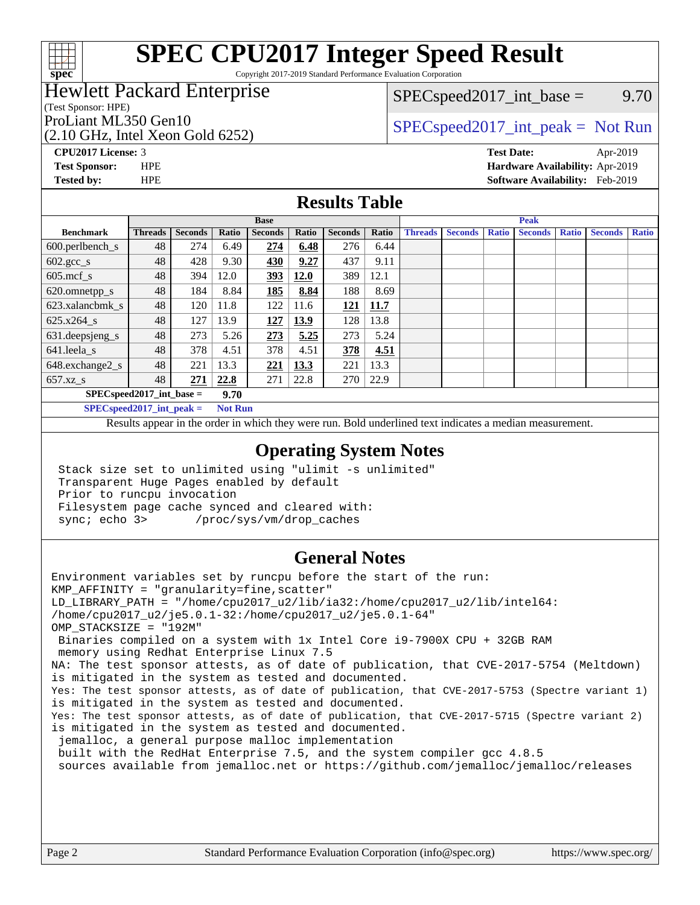

Copyright 2017-2019 Standard Performance Evaluation Corporation

## Hewlett Packard Enterprise

(Test Sponsor: HPE)

 $SPEC speed2017\_int\_base =$  9.70

# (2.10 GHz, Intel Xeon Gold 6252)

ProLiant ML350 Gen10  $SPEC speed2017\_int\_peak = Not Run$ 

**[CPU2017 License:](http://www.spec.org/auto/cpu2017/Docs/result-fields.html#CPU2017License)** 3 **[Test Date:](http://www.spec.org/auto/cpu2017/Docs/result-fields.html#TestDate)** Apr-2019 **[Test Sponsor:](http://www.spec.org/auto/cpu2017/Docs/result-fields.html#TestSponsor)** HPE **[Hardware Availability:](http://www.spec.org/auto/cpu2017/Docs/result-fields.html#HardwareAvailability)** Apr-2019 **[Tested by:](http://www.spec.org/auto/cpu2017/Docs/result-fields.html#Testedby)** HPE **[Software Availability:](http://www.spec.org/auto/cpu2017/Docs/result-fields.html#SoftwareAvailability)** Feb-2019

## **[Results Table](http://www.spec.org/auto/cpu2017/Docs/result-fields.html#ResultsTable)**

|                                      | <b>Base</b>    |                |       |                |             | <b>Peak</b>    |       |                |                |              |                |              |                |              |
|--------------------------------------|----------------|----------------|-------|----------------|-------------|----------------|-------|----------------|----------------|--------------|----------------|--------------|----------------|--------------|
| <b>Benchmark</b>                     | <b>Threads</b> | <b>Seconds</b> | Ratio | <b>Seconds</b> | Ratio       | <b>Seconds</b> | Ratio | <b>Threads</b> | <b>Seconds</b> | <b>Ratio</b> | <b>Seconds</b> | <b>Ratio</b> | <b>Seconds</b> | <b>Ratio</b> |
| $600.$ perlbench_s                   | 48             | 274            | 6.49  | 274            | 6.48        | 276            | 6.44  |                |                |              |                |              |                |              |
| $602 \text{.} \text{gcc}\text{_<}$ s | 48             | 428            | 9.30  | 430            | 9.27        | 437            | 9.11  |                |                |              |                |              |                |              |
| $605$ .mcf s                         | 48             | 394            | 12.0  | <u>393</u>     | <b>12.0</b> | 389            | 12.1  |                |                |              |                |              |                |              |
| 620.omnetpp_s                        | 48             | 184            | 8.84  | 185            | 8.84        | 188            | 8.69  |                |                |              |                |              |                |              |
| 623.xalancbmk s                      | 48             | 120            | 11.8  | 122            | 11.6        | 121            | 11.7  |                |                |              |                |              |                |              |
| 625.x264 s                           | 48             | 127            | 13.9  | 127            | 13.9        | 128            | 13.8  |                |                |              |                |              |                |              |
| 631.deepsjeng_s                      | 48             | 273            | 5.26  | 273            | 5.25        | 273            | 5.24  |                |                |              |                |              |                |              |
| 641.leela s                          | 48             | 378            | 4.51  | 378            | 4.51        | 378            | 4.51  |                |                |              |                |              |                |              |
| 648.exchange2_s                      | 48             | 221            | 13.3  | 221            | 13.3        | 221            | 13.3  |                |                |              |                |              |                |              |
| $657.xz$ s                           | 48             | 271            | 22.8  | 271            | 22.8        | 270            | 22.9  |                |                |              |                |              |                |              |
| $SPECspeed2017$ int base =           |                |                | 9.70  |                |             |                |       |                |                |              |                |              |                |              |

**[SPECspeed2017\\_int\\_peak =](http://www.spec.org/auto/cpu2017/Docs/result-fields.html#SPECspeed2017intpeak) Not Run**

Results appear in the [order in which they were run.](http://www.spec.org/auto/cpu2017/Docs/result-fields.html#RunOrder) Bold underlined text [indicates a median measurement.](http://www.spec.org/auto/cpu2017/Docs/result-fields.html#Median)

### **[Operating System Notes](http://www.spec.org/auto/cpu2017/Docs/result-fields.html#OperatingSystemNotes)**

 Stack size set to unlimited using "ulimit -s unlimited" Transparent Huge Pages enabled by default Prior to runcpu invocation Filesystem page cache synced and cleared with: sync; echo 3> /proc/sys/vm/drop\_caches

## **[General Notes](http://www.spec.org/auto/cpu2017/Docs/result-fields.html#GeneralNotes)**

Environment variables set by runcpu before the start of the run: KMP\_AFFINITY = "granularity=fine,scatter" LD\_LIBRARY\_PATH = "/home/cpu2017\_u2/lib/ia32:/home/cpu2017\_u2/lib/intel64: /home/cpu2017\_u2/je5.0.1-32:/home/cpu2017\_u2/je5.0.1-64" OMP\_STACKSIZE = "192M" Binaries compiled on a system with 1x Intel Core i9-7900X CPU + 32GB RAM memory using Redhat Enterprise Linux 7.5 NA: The test sponsor attests, as of date of publication, that CVE-2017-5754 (Meltdown) is mitigated in the system as tested and documented. Yes: The test sponsor attests, as of date of publication, that CVE-2017-5753 (Spectre variant 1) is mitigated in the system as tested and documented. Yes: The test sponsor attests, as of date of publication, that CVE-2017-5715 (Spectre variant 2) is mitigated in the system as tested and documented. jemalloc, a general purpose malloc implementation built with the RedHat Enterprise 7.5, and the system compiler gcc 4.8.5 sources available from jemalloc.net or<https://github.com/jemalloc/jemalloc/releases>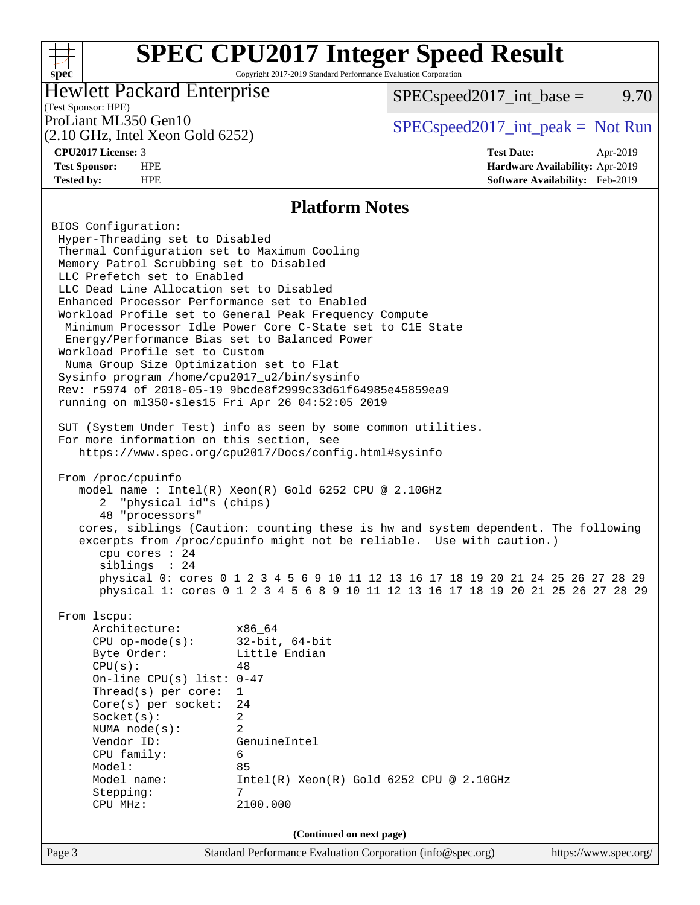Copyright 2017-2019 Standard Performance Evaluation Corporation

## Hewlett Packard Enterprise

 $SPEC speed2017\_int\_base =$  9.70

## (Test Sponsor: HPE)

(2.10 GHz, Intel Xeon Gold 6252)

ProLiant ML350 Gen10  $SPEC speed2017\_int\_peak = Not Run$ 

**[spec](http://www.spec.org/)**

 $+\ +$ 

**[CPU2017 License:](http://www.spec.org/auto/cpu2017/Docs/result-fields.html#CPU2017License)** 3 **[Test Date:](http://www.spec.org/auto/cpu2017/Docs/result-fields.html#TestDate)** Apr-2019 **[Test Sponsor:](http://www.spec.org/auto/cpu2017/Docs/result-fields.html#TestSponsor)** HPE **[Hardware Availability:](http://www.spec.org/auto/cpu2017/Docs/result-fields.html#HardwareAvailability)** Apr-2019 **[Tested by:](http://www.spec.org/auto/cpu2017/Docs/result-fields.html#Testedby)** HPE **[Software Availability:](http://www.spec.org/auto/cpu2017/Docs/result-fields.html#SoftwareAvailability)** Feb-2019

### **[Platform Notes](http://www.spec.org/auto/cpu2017/Docs/result-fields.html#PlatformNotes)**

Page 3 Standard Performance Evaluation Corporation [\(info@spec.org\)](mailto:info@spec.org) <https://www.spec.org/> BIOS Configuration: Hyper-Threading set to Disabled Thermal Configuration set to Maximum Cooling Memory Patrol Scrubbing set to Disabled LLC Prefetch set to Enabled LLC Dead Line Allocation set to Disabled Enhanced Processor Performance set to Enabled Workload Profile set to General Peak Frequency Compute Minimum Processor Idle Power Core C-State set to C1E State Energy/Performance Bias set to Balanced Power Workload Profile set to Custom Numa Group Size Optimization set to Flat Sysinfo program /home/cpu2017\_u2/bin/sysinfo Rev: r5974 of 2018-05-19 9bcde8f2999c33d61f64985e45859ea9 running on ml350-sles15 Fri Apr 26 04:52:05 2019 SUT (System Under Test) info as seen by some common utilities. For more information on this section, see <https://www.spec.org/cpu2017/Docs/config.html#sysinfo> From /proc/cpuinfo model name : Intel(R) Xeon(R) Gold 6252 CPU @ 2.10GHz 2 "physical id"s (chips) 48 "processors" cores, siblings (Caution: counting these is hw and system dependent. The following excerpts from /proc/cpuinfo might not be reliable. Use with caution.) cpu cores : 24 siblings : 24 physical 0: cores 0 1 2 3 4 5 6 9 10 11 12 13 16 17 18 19 20 21 24 25 26 27 28 29 physical 1: cores 0 1 2 3 4 5 6 8 9 10 11 12 13 16 17 18 19 20 21 25 26 27 28 29 From lscpu: Architecture: x86\_64 CPU op-mode(s): 32-bit, 64-bit Byte Order: Little Endian  $CPU(s):$  48 On-line CPU(s) list: 0-47 Thread(s) per core: 1 Core(s) per socket: 24 Socket(s): 2 NUMA node(s): 2 Vendor ID: GenuineIntel CPU family: 6 Model: 85 Model name: Intel(R) Xeon(R) Gold 6252 CPU @ 2.10GHz Stepping: 7 CPU MHz: 2100.000 **(Continued on next page)**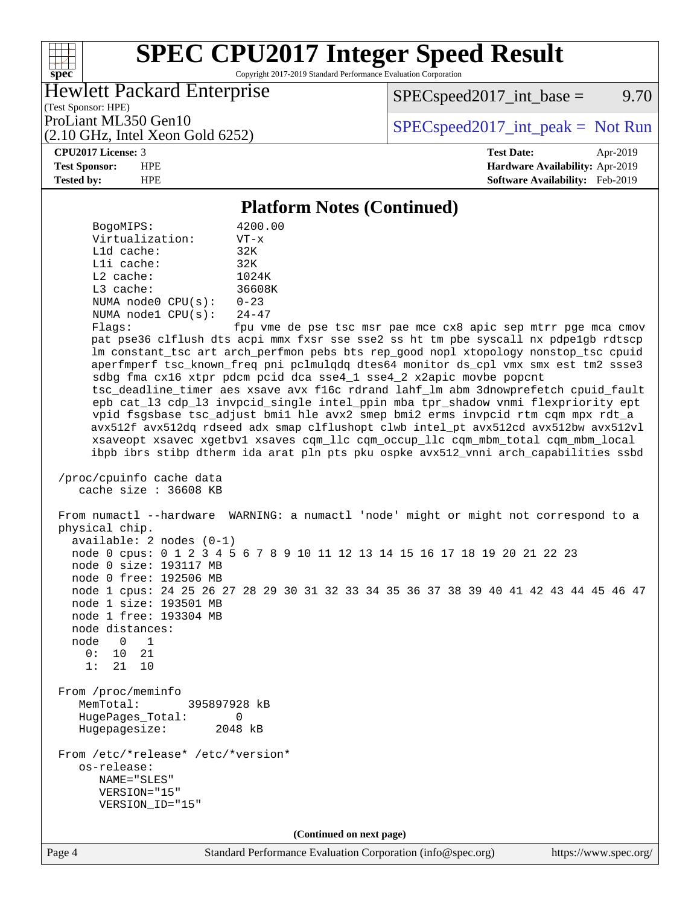Copyright 2017-2019 Standard Performance Evaluation Corporation

## Hewlett Packard Enterprise

 $SPEC speed2017\_int\_base =$  9.70

(Test Sponsor: HPE) (2.10 GHz, Intel Xeon Gold 6252)

ProLiant ML350 Gen10  $SPEC speed2017\_int\_peak = Not Run$ 

**[spec](http://www.spec.org/)**

 $+\ +$ 

**[CPU2017 License:](http://www.spec.org/auto/cpu2017/Docs/result-fields.html#CPU2017License)** 3 **[Test Date:](http://www.spec.org/auto/cpu2017/Docs/result-fields.html#TestDate)** Apr-2019 **[Test Sponsor:](http://www.spec.org/auto/cpu2017/Docs/result-fields.html#TestSponsor)** HPE **[Hardware Availability:](http://www.spec.org/auto/cpu2017/Docs/result-fields.html#HardwareAvailability)** Apr-2019 **[Tested by:](http://www.spec.org/auto/cpu2017/Docs/result-fields.html#Testedby)** HPE **[Software Availability:](http://www.spec.org/auto/cpu2017/Docs/result-fields.html#SoftwareAvailability)** Feb-2019

### **[Platform Notes \(Continued\)](http://www.spec.org/auto/cpu2017/Docs/result-fields.html#PlatformNotes)**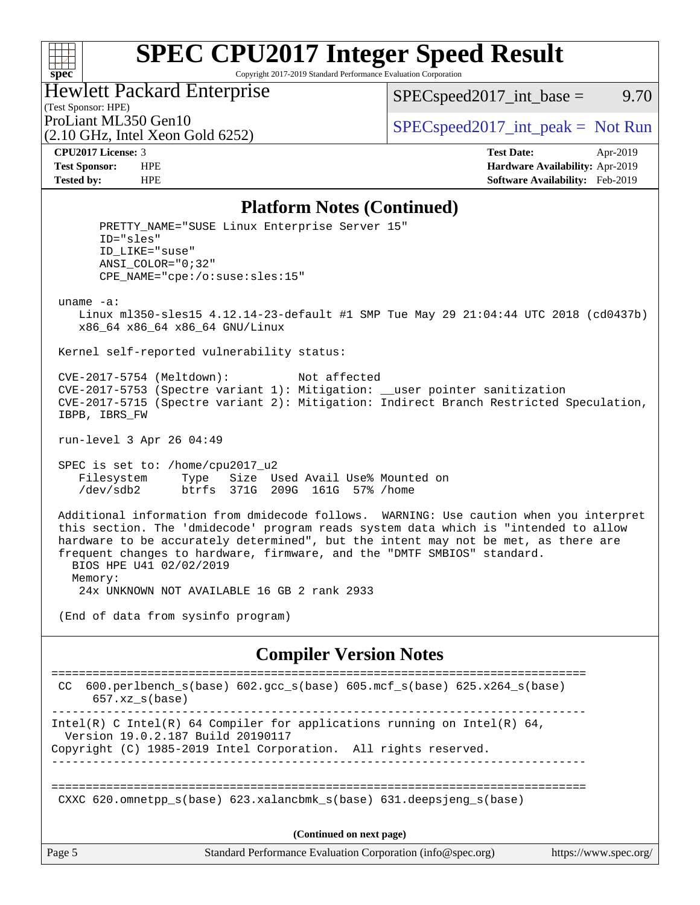### $+\!\!+\!\!$ **[spec](http://www.spec.org/)**

# **[SPEC CPU2017 Integer Speed Result](http://www.spec.org/auto/cpu2017/Docs/result-fields.html#SPECCPU2017IntegerSpeedResult)**

Copyright 2017-2019 Standard Performance Evaluation Corporation

## Hewlett Packard Enterprise

(2.10 GHz, Intel Xeon Gold 6252)

 $SPEC speed2017\_int\_base =$  9.70

(Test Sponsor: HPE)

ProLiant ML350 Gen10  $SPEC speed2017\_int\_peak = Not Run$ 

**[CPU2017 License:](http://www.spec.org/auto/cpu2017/Docs/result-fields.html#CPU2017License)** 3 **[Test Date:](http://www.spec.org/auto/cpu2017/Docs/result-fields.html#TestDate)** Apr-2019 **[Test Sponsor:](http://www.spec.org/auto/cpu2017/Docs/result-fields.html#TestSponsor)** HPE **[Hardware Availability:](http://www.spec.org/auto/cpu2017/Docs/result-fields.html#HardwareAvailability)** Apr-2019 **[Tested by:](http://www.spec.org/auto/cpu2017/Docs/result-fields.html#Testedby)** HPE **[Software Availability:](http://www.spec.org/auto/cpu2017/Docs/result-fields.html#SoftwareAvailability)** Feb-2019

### **[Platform Notes \(Continued\)](http://www.spec.org/auto/cpu2017/Docs/result-fields.html#PlatformNotes)**

PRETTY NAME="SUSE Linux Enterprise Server 15" ID="sles" ID\_LIKE="suse" ANSI\_COLOR="0;32" CPE\_NAME="cpe:/o:suse:sles:15" uname -a: Linux ml350-sles15 4.12.14-23-default #1 SMP Tue May 29 21:04:44 UTC 2018 (cd0437b) x86\_64 x86\_64 x86\_64 GNU/Linux Kernel self-reported vulnerability status: CVE-2017-5754 (Meltdown): Not affected CVE-2017-5753 (Spectre variant 1): Mitigation: \_\_user pointer sanitization CVE-2017-5715 (Spectre variant 2): Mitigation: Indirect Branch Restricted Speculation, IBPB, IBRS\_FW run-level 3 Apr 26 04:49 SPEC is set to: /home/cpu2017\_u2 Filesystem Type Size Used Avail Use% Mounted on /dev/sdb2 btrfs 371G 209G 161G 57% /home Additional information from dmidecode follows. WARNING: Use caution when you interpret this section. The 'dmidecode' program reads system data which is "intended to allow hardware to be accurately determined", but the intent may not be met, as there are frequent changes to hardware, firmware, and the "DMTF SMBIOS" standard. BIOS HPE U41 02/02/2019 Memory: 24x UNKNOWN NOT AVAILABLE 16 GB 2 rank 2933 (End of data from sysinfo program) **[Compiler Version Notes](http://www.spec.org/auto/cpu2017/Docs/result-fields.html#CompilerVersionNotes)** ============================================================================== CC 600.perlbench\_s(base) 602.gcc\_s(base) 605.mcf\_s(base) 625.x264\_s(base) 657.xz\_s(base) ------------------------------------------------------------------------------ Intel(R) C Intel(R) 64 Compiler for applications running on Intel(R)  $64$ , Version 19.0.2.187 Build 20190117 Copyright (C) 1985-2019 Intel Corporation. All rights reserved. ------------------------------------------------------------------------------ ============================================================================== CXXC 620.omnetpp\_s(base) 623.xalancbmk\_s(base) 631.deepsjeng\_s(base)

**(Continued on next page)**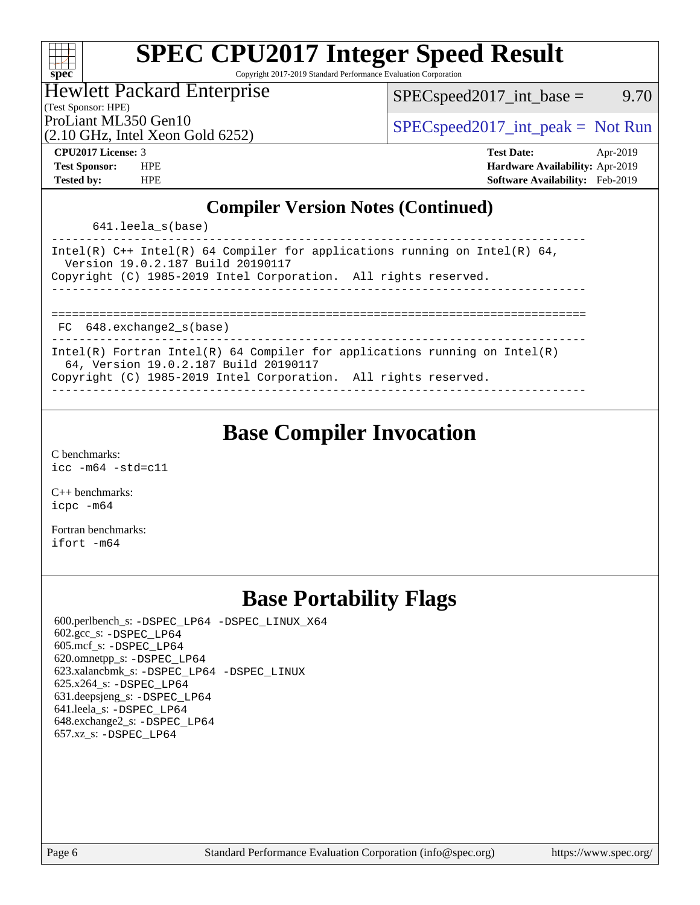| ę,<br>c | Ű. | E | ۱. |  |
|---------|----|---|----|--|

Copyright 2017-2019 Standard Performance Evaluation Corporation

### Hewlett Packard Enterprise

 $SPEC speed2017\_int\_base =$  9.70

(Test Sponsor: HPE)

(2.10 GHz, Intel Xeon Gold 6252)

ProLiant ML350 Gen10  $SPEC speed2017\_int\_peak = Not Run$ 

**[CPU2017 License:](http://www.spec.org/auto/cpu2017/Docs/result-fields.html#CPU2017License)** 3 **[Test Date:](http://www.spec.org/auto/cpu2017/Docs/result-fields.html#TestDate)** Apr-2019 **[Test Sponsor:](http://www.spec.org/auto/cpu2017/Docs/result-fields.html#TestSponsor)** HPE **[Hardware Availability:](http://www.spec.org/auto/cpu2017/Docs/result-fields.html#HardwareAvailability)** Apr-2019 **[Tested by:](http://www.spec.org/auto/cpu2017/Docs/result-fields.html#Testedby)** HPE **[Software Availability:](http://www.spec.org/auto/cpu2017/Docs/result-fields.html#SoftwareAvailability)** Feb-2019

## **[Compiler Version Notes \(Continued\)](http://www.spec.org/auto/cpu2017/Docs/result-fields.html#CompilerVersionNotes)**

641.leela\_s(base)

| Intel(R) $C++$ Intel(R) 64 Compiler for applications running on Intel(R) 64,<br>Version 19.0.2.187 Build 20190117<br>Copyright (C) 1985-2019 Intel Corporation. All rights reserved. |
|--------------------------------------------------------------------------------------------------------------------------------------------------------------------------------------|
|                                                                                                                                                                                      |
|                                                                                                                                                                                      |
|                                                                                                                                                                                      |
|                                                                                                                                                                                      |
| FC 648.exchange2 s(base)                                                                                                                                                             |
|                                                                                                                                                                                      |
| Intel(R) Fortran Intel(R) 64 Compiler for applications running on Intel(R)                                                                                                           |
| 64, Version 19.0.2.187 Build 20190117                                                                                                                                                |
| $\alpha$                                                                                                                                                                             |

Copyright (C) 1985-2019 Intel Corporation. All rights reserved. ------------------------------------------------------------------------------

# **[Base Compiler Invocation](http://www.spec.org/auto/cpu2017/Docs/result-fields.html#BaseCompilerInvocation)**

[C benchmarks](http://www.spec.org/auto/cpu2017/Docs/result-fields.html#Cbenchmarks): [icc -m64 -std=c11](http://www.spec.org/cpu2017/results/res2019q2/cpu2017-20190513-13859.flags.html#user_CCbase_intel_icc_64bit_c11_33ee0cdaae7deeeab2a9725423ba97205ce30f63b9926c2519791662299b76a0318f32ddfffdc46587804de3178b4f9328c46fa7c2b0cd779d7a61945c91cd35)

[C++ benchmarks:](http://www.spec.org/auto/cpu2017/Docs/result-fields.html#CXXbenchmarks) [icpc -m64](http://www.spec.org/cpu2017/results/res2019q2/cpu2017-20190513-13859.flags.html#user_CXXbase_intel_icpc_64bit_4ecb2543ae3f1412ef961e0650ca070fec7b7afdcd6ed48761b84423119d1bf6bdf5cad15b44d48e7256388bc77273b966e5eb805aefd121eb22e9299b2ec9d9)

[Fortran benchmarks](http://www.spec.org/auto/cpu2017/Docs/result-fields.html#Fortranbenchmarks): [ifort -m64](http://www.spec.org/cpu2017/results/res2019q2/cpu2017-20190513-13859.flags.html#user_FCbase_intel_ifort_64bit_24f2bb282fbaeffd6157abe4f878425411749daecae9a33200eee2bee2fe76f3b89351d69a8130dd5949958ce389cf37ff59a95e7a40d588e8d3a57e0c3fd751)

# **[Base Portability Flags](http://www.spec.org/auto/cpu2017/Docs/result-fields.html#BasePortabilityFlags)**

 600.perlbench\_s: [-DSPEC\\_LP64](http://www.spec.org/cpu2017/results/res2019q2/cpu2017-20190513-13859.flags.html#b600.perlbench_s_basePORTABILITY_DSPEC_LP64) [-DSPEC\\_LINUX\\_X64](http://www.spec.org/cpu2017/results/res2019q2/cpu2017-20190513-13859.flags.html#b600.perlbench_s_baseCPORTABILITY_DSPEC_LINUX_X64) 602.gcc\_s: [-DSPEC\\_LP64](http://www.spec.org/cpu2017/results/res2019q2/cpu2017-20190513-13859.flags.html#suite_basePORTABILITY602_gcc_s_DSPEC_LP64) 605.mcf\_s: [-DSPEC\\_LP64](http://www.spec.org/cpu2017/results/res2019q2/cpu2017-20190513-13859.flags.html#suite_basePORTABILITY605_mcf_s_DSPEC_LP64) 620.omnetpp\_s: [-DSPEC\\_LP64](http://www.spec.org/cpu2017/results/res2019q2/cpu2017-20190513-13859.flags.html#suite_basePORTABILITY620_omnetpp_s_DSPEC_LP64) 623.xalancbmk\_s: [-DSPEC\\_LP64](http://www.spec.org/cpu2017/results/res2019q2/cpu2017-20190513-13859.flags.html#suite_basePORTABILITY623_xalancbmk_s_DSPEC_LP64) [-DSPEC\\_LINUX](http://www.spec.org/cpu2017/results/res2019q2/cpu2017-20190513-13859.flags.html#b623.xalancbmk_s_baseCXXPORTABILITY_DSPEC_LINUX) 625.x264\_s: [-DSPEC\\_LP64](http://www.spec.org/cpu2017/results/res2019q2/cpu2017-20190513-13859.flags.html#suite_basePORTABILITY625_x264_s_DSPEC_LP64) 631.deepsjeng\_s: [-DSPEC\\_LP64](http://www.spec.org/cpu2017/results/res2019q2/cpu2017-20190513-13859.flags.html#suite_basePORTABILITY631_deepsjeng_s_DSPEC_LP64) 641.leela\_s: [-DSPEC\\_LP64](http://www.spec.org/cpu2017/results/res2019q2/cpu2017-20190513-13859.flags.html#suite_basePORTABILITY641_leela_s_DSPEC_LP64) 648.exchange2\_s: [-DSPEC\\_LP64](http://www.spec.org/cpu2017/results/res2019q2/cpu2017-20190513-13859.flags.html#suite_basePORTABILITY648_exchange2_s_DSPEC_LP64) 657.xz\_s: [-DSPEC\\_LP64](http://www.spec.org/cpu2017/results/res2019q2/cpu2017-20190513-13859.flags.html#suite_basePORTABILITY657_xz_s_DSPEC_LP64)